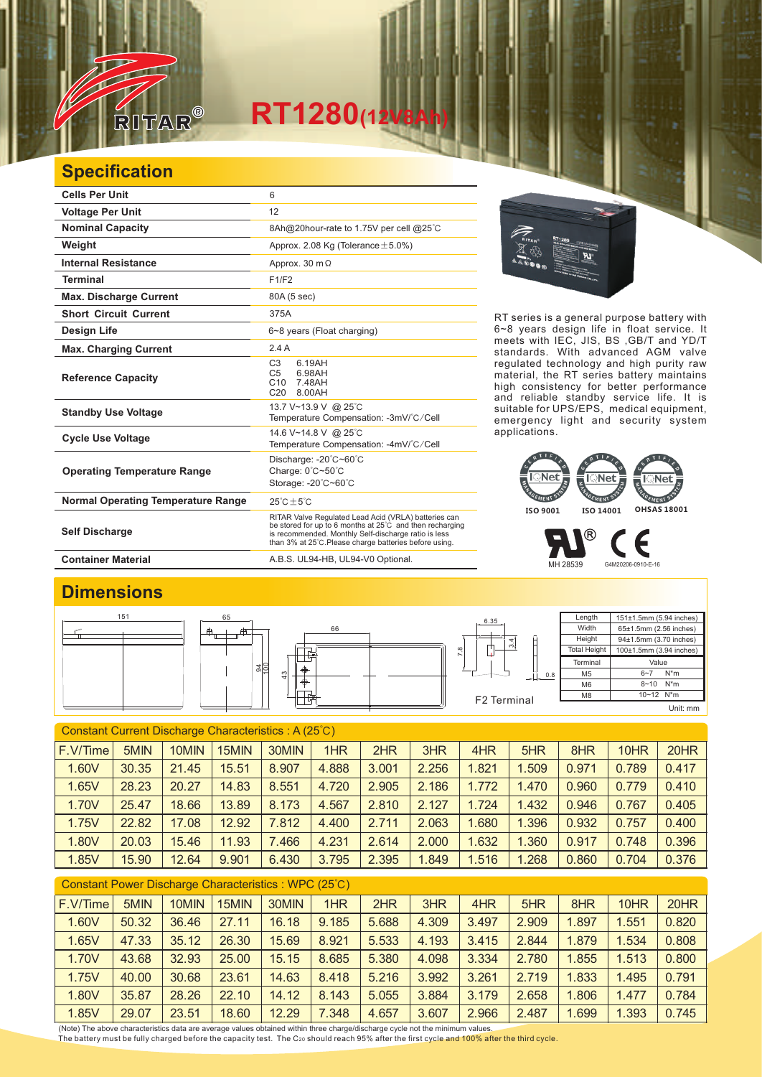

## $RT1280$ <sub>(12V</sub>

## **Specification**

| <b>Cells Per Unit</b>                     | 6                                                                                                                                                                                                                                  |  |  |  |  |  |
|-------------------------------------------|------------------------------------------------------------------------------------------------------------------------------------------------------------------------------------------------------------------------------------|--|--|--|--|--|
| <b>Voltage Per Unit</b>                   | 12                                                                                                                                                                                                                                 |  |  |  |  |  |
| <b>Nominal Capacity</b>                   | 8Ah@20hour-rate to 1.75V per cell @25°C                                                                                                                                                                                            |  |  |  |  |  |
| Weight                                    | Approx. 2.08 Kg (Tolerance $\pm$ 5.0%)                                                                                                                                                                                             |  |  |  |  |  |
| <b>Internal Resistance</b>                | Approx. 30 $m\Omega$                                                                                                                                                                                                               |  |  |  |  |  |
| <b>Terminal</b>                           | F1/F2                                                                                                                                                                                                                              |  |  |  |  |  |
| <b>Max. Discharge Current</b>             | 80A (5 sec)                                                                                                                                                                                                                        |  |  |  |  |  |
| <b>Short Circuit Current</b>              | 375A                                                                                                                                                                                                                               |  |  |  |  |  |
| <b>Design Life</b>                        | 6~8 years (Float charging)                                                                                                                                                                                                         |  |  |  |  |  |
| <b>Max. Charging Current</b>              | 2.4A                                                                                                                                                                                                                               |  |  |  |  |  |
| <b>Reference Capacity</b>                 | C <sub>3</sub><br>6.19AH<br>6.98AH<br>C <sub>5</sub><br>C10<br>7.48AH<br>C <sub>20</sub><br>8.00AH                                                                                                                                 |  |  |  |  |  |
| <b>Standby Use Voltage</b>                | 13.7 V~13.9 V @ 25°C<br>Temperature Compensation: -3mV/°C/Cell                                                                                                                                                                     |  |  |  |  |  |
| <b>Cycle Use Voltage</b>                  | 14.6 V~14.8 V @ 25°C<br>Temperature Compensation: -4mV/°C/Cell                                                                                                                                                                     |  |  |  |  |  |
| <b>Operating Temperature Range</b>        | Discharge: -20°C~60°C<br>Charge: 0°C~50°C<br>Storage: -20°C~60°C                                                                                                                                                                   |  |  |  |  |  |
| <b>Normal Operating Temperature Range</b> | $25^{\circ}$ C + $5^{\circ}$ C                                                                                                                                                                                                     |  |  |  |  |  |
| <b>Self Discharge</b>                     | RITAR Valve Regulated Lead Acid (VRLA) batteries can<br>be stored for up to 6 months at 25°C and then recharging<br>is recommended. Monthly Self-discharge ratio is less<br>than 3% at 25°C. Please charge batteries before using. |  |  |  |  |  |



RT series is a general purpose battery with 6~8 years design life in float service. It meets with IEC, JIS, BS ,GB/T and YD/T standards. With advanced AGM valve regulated technology and high purity raw material, the RT series battery maintains high consistency for better performance and reliable standby service life. It is suitable for UPS/EPS, medical equipment, emergency light and security system applications.



® F MH 28539 G4M20206-0910-E-16

**Container Material** A.B.S. UL94-HB, UL94-V0 Optional.

## **Dimensions**



| F.V/Time<br>1HR<br>2HR<br>5MIN<br>3HR<br>4HR<br>10HR<br>10MIN<br>15MIN<br>30MIN<br>5HR<br>8HR            | 20HR  |
|----------------------------------------------------------------------------------------------------------|-------|
| 1.60V<br>30.35<br>4.888<br>2.256<br>1.821<br>.509<br>21.45<br>8.907<br>3.001<br>0.971<br>0.789<br>15.51  | 0.417 |
| 28.23<br>14.83<br>8.551<br>4.720<br>2.905<br>2.186<br>0.960<br>1.65V<br>20.27<br>1.772<br>0.779<br>1.470 | 0.410 |
| 1.70V<br>8.173<br>25.47<br>13.89<br>4.567<br>2.810<br>2.127<br>1.724<br>1.432<br>18.66<br>0.946<br>0.767 | 0.405 |
| 1.75V<br>4.400<br>2.063<br>1.680<br>22.82<br>17.08<br>12.92<br>7.812<br>2.711<br>1.396<br>0.932<br>0.757 | 0.400 |
| 1.80V<br>7.466<br>4.231<br>2.614<br>2.000<br>1.632<br>1.360<br>20.03<br>15.46<br>11.93<br>0.917<br>0.748 | 0.396 |
| 1.85V<br>3.795<br>2.395<br>1.849<br>1.268<br>9.901<br>6.430<br>1.516<br>0.860<br>0.704<br>15.90<br>12.64 | 0.376 |

| Constant Power Discharge Characteristics: WPC (25°C) |       |       |       |       |       |       |       |       |       |       |       |       |
|------------------------------------------------------|-------|-------|-------|-------|-------|-------|-------|-------|-------|-------|-------|-------|
| F.V/Time                                             | 5MIN  | 10MIN | 15MIN | 30MIN | 1HR   | 2HR   | 3HR   | 4HR   | 5HR   | 8HR   | 10HR  | 20HR  |
| 1.60V                                                | 50.32 | 36.46 | 27.11 | 16.18 | 9.185 | 5.688 | 4.309 | 3.497 | 2.909 | 1.897 | 1.551 | 0.820 |
| 1.65V                                                | 47.33 | 35.12 | 26.30 | 15.69 | 8.921 | 5.533 | 4.193 | 3.415 | 2.844 | 1.879 | 1.534 | 0.808 |
| 1.70V                                                | 43.68 | 32.93 | 25.00 | 15.15 | 8.685 | 5.380 | 4.098 | 3.334 | 2.780 | 1.855 | 1.513 | 0.800 |
| 1.75V                                                | 40.00 | 30.68 | 23.61 | 14.63 | 8.418 | 5.216 | 3.992 | 3.261 | 2.719 | 1.833 | 1.495 | 0.791 |
| 1.80V                                                | 35.87 | 28.26 | 22.10 | 14.12 | 8.143 | 5.055 | 3.884 | 3.179 | 2.658 | 1.806 | 1.477 | 0.784 |
| 1.85V                                                | 29.07 | 23.51 | 18.60 | 12.29 | 7.348 | 4.657 | 3.607 | 2.966 | 2.487 | 1.699 | 1.393 | 0.745 |

(Note) The above characteristics data are average values obtained within three charge/discharge cycle not the minimum values.<br><u>T</u>he battery must be fully charged before the capacity test. The C20 should reach 95% after th